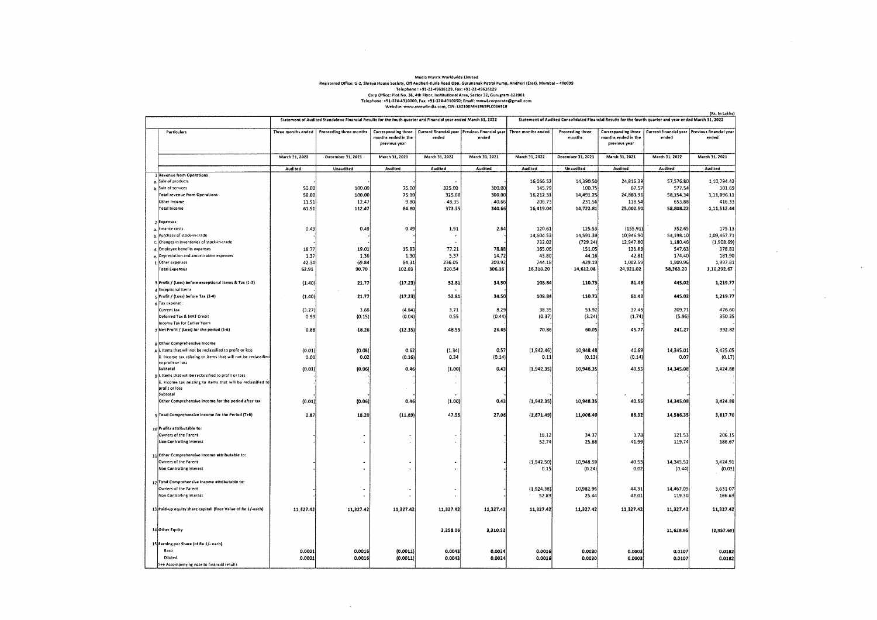## Media Matrix Worldwide Limited<br>Registered Office: G-2, Shreya House Society, Of Andreit: Kurla Road Opp. Gurunanak Petrol Pump, Andreri (E911), Mumbal – 400099<br>Telephone: +91-22-49616129, Fax: +91-22-49616129<br>Corp Office:

 $\sim 10^{11}$  km s  $^{-1}$ 

 $\sim$ 

|                                                                | Statement of Audited Standalone Financial Results for the fouth quarter and Financial year ended March 31, 2022 |                         |                                                             |                |                                                           | (Rs. In Lakhs)<br>Statement of Audited Consolidated Financial Results for the fourth quarter and year ended March 31, 2022 |                            |                                      |                                                                                 |                |
|----------------------------------------------------------------|-----------------------------------------------------------------------------------------------------------------|-------------------------|-------------------------------------------------------------|----------------|-----------------------------------------------------------|----------------------------------------------------------------------------------------------------------------------------|----------------------------|--------------------------------------|---------------------------------------------------------------------------------|----------------|
| <b>Particulars</b>                                             | Three months ended                                                                                              | Preceeding three months | Corresponding three<br>months ended in the<br>previous year | ended          | Current financial year   Previous financial year<br>ended | Three months ended                                                                                                         | Preceeding three<br>months | months ended in the<br>previous year | Corresponding three   Current financial year   Previous financial year<br>ended | ended          |
|                                                                | March 31, 2022                                                                                                  | December 31, 2021       | March 31, 2021                                              | March 31, 2022 | March 31, 2021                                            | March 31, 2022                                                                                                             | December 31, 2021          | March 31, 2021                       | March 31, 2022                                                                  | March 31, 2021 |
|                                                                | Audited                                                                                                         | Unaudited               | Audited                                                     | Audited        | Audited                                                   | Audited                                                                                                                    | Unaudited                  | Audited                              | Audited                                                                         | Audited        |
| 1 Revenue from Operations                                      |                                                                                                                 |                         |                                                             |                |                                                           |                                                                                                                            |                            |                                      |                                                                                 |                |
| Sale of products                                               |                                                                                                                 |                         |                                                             |                |                                                           | 16,066.52                                                                                                                  | 14,390.50                  | 24,816.39                            | 57,576.80                                                                       | 1,10,794.42    |
| Sale of services                                               | 50.00                                                                                                           | 100.00                  | 75.00                                                       | 325.00         | 300.00                                                    | 145.79                                                                                                                     | 100.75                     | 67.57                                | 577.54                                                                          | 301.69         |
| <b>Total revenue from Operations</b>                           | 50.00                                                                                                           | 100.00                  | 75.00                                                       | 325.00         | 300.00                                                    | 16,212.31                                                                                                                  | 14,491.25                  | 24,883.96                            | 58,154.34                                                                       | 1,11,096.11    |
| Other Income                                                   | 11.51                                                                                                           | 12.47                   | 9.80                                                        | 48.35          | 40.66                                                     | 206.73                                                                                                                     | 231.56                     | 118.54                               | 653.88                                                                          | 416.33         |
| Total Income                                                   | 61.51                                                                                                           | 112.47                  | 84.80                                                       | 373.35         | 340.66                                                    | 16,419.04                                                                                                                  | 14,722.81                  | 25,002.50                            | 58,808.22                                                                       | 1,11,512.44    |
|                                                                |                                                                                                                 |                         |                                                             |                |                                                           |                                                                                                                            |                            |                                      |                                                                                 |                |
| 2 Expenses                                                     |                                                                                                                 |                         |                                                             |                |                                                           |                                                                                                                            |                            |                                      |                                                                                 |                |
| Finance costs                                                  | 0.43                                                                                                            | 0.49                    | 0.49                                                        | 1.91           | 2.64                                                      | 120.61                                                                                                                     | 125.53                     | (155.91)                             | 352.65                                                                          | 175.13         |
| Purchase of stock-in-trade                                     |                                                                                                                 |                         |                                                             |                |                                                           | 14,504.53                                                                                                                  | 14,591.39                  | 10,946.90                            | 54,198.10                                                                       | 1,09,467.71    |
| Changes in inventories of stock-in-trade                       |                                                                                                                 |                         |                                                             |                |                                                           | 732.02                                                                                                                     | (729.24)                   | 12,947.80                            | 1,180.46                                                                        | (1,908.69)     |
| d. Employee benefits expenses                                  | 18.77                                                                                                           | 19.01                   | 15.93                                                       | 77.21          | 78.88                                                     | 165.06                                                                                                                     | 151.05                     | 136.83                               | 547.63                                                                          | 378.81         |
| Depreciation and amortisation expenses                         | 1.37                                                                                                            | 1.36                    | 1.30                                                        | 5.37           | 14.72                                                     | 43.80                                                                                                                      | 44.16                      | 42.81                                | 174,40                                                                          | 181.90         |
| f. Other expenses                                              | 42.34                                                                                                           | 69.84                   | 84.31                                                       | 236,05         | 209.92                                                    | 744.18                                                                                                                     | 429.19                     | 1,002.59                             | 1,909.96                                                                        | 1,997.81       |
| <b>Total Expenses</b>                                          | 62.91                                                                                                           | 90.70                   | 102.03                                                      | 320.54         | 306.16                                                    | 16,310.20                                                                                                                  | 14,612.08                  | 24,921.02                            | 58,363.20                                                                       | 1,10,292.67    |
| 3 Profit / (Loss) before exceptional items & Tax (1-2)         | (1.40)                                                                                                          | 21.77                   | (17.23)                                                     | 52.81          | 34.50                                                     | 108.84                                                                                                                     | 110.73                     | 81.48                                | 445.02                                                                          | 1,219.77       |
| <b>Exceptional Items</b>                                       |                                                                                                                 |                         | (17.23)                                                     | 52.81          | 34.50                                                     | 108.84                                                                                                                     | 110.73                     | 81.48                                | 445.02                                                                          | 1,219.77       |
| 5 Profit / (Loss) before Tax (3-4)                             | (1.40)                                                                                                          | 21.77                   |                                                             |                |                                                           |                                                                                                                            |                            |                                      |                                                                                 |                |
| 6 Tax expense<br>Current tax                                   |                                                                                                                 | 3.66                    | (4.84)                                                      | 3.71           | 8.29                                                      | 38.35                                                                                                                      | 53.92                      | 37.45                                | 209.71                                                                          | 476.60         |
| Deferred Tax & MAT Credit                                      | (3.27)<br>0.99                                                                                                  | (0.15)                  | (0.04)                                                      | 0.55           | (0.44)                                                    | (0.37)                                                                                                                     | (3.24)                     | (1.74)                               | (5.96)                                                                          | 350.35         |
| Income Tax for Earlier Years                                   |                                                                                                                 |                         |                                                             |                |                                                           |                                                                                                                            |                            |                                      |                                                                                 |                |
| 7 Net Profit / (Loss) for the period (5-6)                     | 0.88                                                                                                            | 18.26                   | (12.35)                                                     | 48.55          | 26.65                                                     | 70.86                                                                                                                      | 60.05                      | 45.77                                | 241.27                                                                          | 392.82         |
| g Other Comprehensive Income                                   |                                                                                                                 |                         |                                                             |                |                                                           |                                                                                                                            |                            |                                      |                                                                                 |                |
| Ali. Items that will not be reclassified to profit or loss     | (0.01)                                                                                                          | (0.08)                  | 0.62                                                        | (1.34)         | 0.57                                                      | (1, 942.46)                                                                                                                | 10,948.48                  | 40.69                                | 14,345.01                                                                       | 3,425.05       |
| ii. Income tax relating to items that will not be reclassified | 0.00                                                                                                            | 0.02]                   | (0.16)                                                      | 0.34           | (0.14)                                                    | 0.11                                                                                                                       | (0.13)                     | (0.14)                               | 0.07                                                                            | (0.17)         |
| to profit or loss                                              |                                                                                                                 |                         |                                                             |                |                                                           |                                                                                                                            |                            |                                      |                                                                                 |                |
| Subtotal                                                       | (0.01)                                                                                                          | (0.06)                  | 0.46                                                        | (1.00)         | 0.43                                                      | (1,942.35)                                                                                                                 | 10,948.35                  | 40.55                                | 14,345.08                                                                       | 3,424.88       |
| g i. Items that will be reclassified to profit or loss         |                                                                                                                 |                         |                                                             |                |                                                           |                                                                                                                            |                            |                                      |                                                                                 |                |
| ii. Income tax relating to items that will be reclassified to  |                                                                                                                 |                         |                                                             |                |                                                           |                                                                                                                            |                            |                                      |                                                                                 |                |
| profit or loss<br>Subtotal                                     |                                                                                                                 |                         |                                                             |                |                                                           |                                                                                                                            |                            |                                      |                                                                                 |                |
| Other Comprehensive Income for the period after tax            | (0.01)                                                                                                          | (0.06)                  | 0,46                                                        | (1.00)         | 0.43                                                      | (1, 942.35)                                                                                                                | 10,948.35                  | 40.55                                | 14,345.08                                                                       | 3,424.88       |
|                                                                |                                                                                                                 |                         |                                                             |                |                                                           |                                                                                                                            |                            |                                      |                                                                                 |                |
| 9 Total Comprehensive Income for the Period (7+8)              | 0.87                                                                                                            | 18.20                   | (11.89)                                                     | 47.55          | 27.08                                                     | (1, 871.49)                                                                                                                | 11,008.40                  | 86.32                                | 14,586.35                                                                       | 3,817.70       |
|                                                                |                                                                                                                 |                         |                                                             |                |                                                           |                                                                                                                            |                            |                                      |                                                                                 |                |
| 10 Profits attributable to:                                    |                                                                                                                 |                         |                                                             |                |                                                           |                                                                                                                            |                            |                                      |                                                                                 |                |
| Owners of the Parent                                           |                                                                                                                 |                         |                                                             |                |                                                           | 18.12                                                                                                                      | 34.37                      | 3.78                                 | 121.53                                                                          | 206.15         |
| Non Controlling Interest                                       |                                                                                                                 |                         |                                                             |                |                                                           | 52.7                                                                                                                       | 25.68                      | 41.99                                | 119.74                                                                          | 186.67         |
|                                                                |                                                                                                                 |                         |                                                             |                |                                                           |                                                                                                                            |                            |                                      |                                                                                 |                |
| 11 Other Comprehensive Income attributable to:                 |                                                                                                                 |                         |                                                             |                |                                                           |                                                                                                                            |                            |                                      |                                                                                 |                |
| Owners of the Parent                                           |                                                                                                                 |                         |                                                             |                |                                                           | (1,942.50)                                                                                                                 | 10,948.59                  | 40.53                                | 14,345.52                                                                       | 3,424.91       |
| <b>Non Controlling Interest</b>                                |                                                                                                                 |                         |                                                             |                |                                                           | 0.15                                                                                                                       | (0.24)                     | 0,02                                 | (0, 44)                                                                         | (0.03)         |
|                                                                |                                                                                                                 |                         |                                                             |                |                                                           |                                                                                                                            |                            |                                      |                                                                                 |                |
| 12 Total Comprehensive Income attributable to:                 |                                                                                                                 |                         |                                                             |                |                                                           |                                                                                                                            |                            |                                      |                                                                                 |                |
| Owners of the Parent                                           |                                                                                                                 |                         |                                                             |                |                                                           | (1,924.38)                                                                                                                 | 10,982.96                  | 44.31                                | 14,467.05                                                                       | 3,631.07       |
| Non Controlling Interest                                       |                                                                                                                 |                         |                                                             |                |                                                           | 52.89                                                                                                                      | 25.44                      | 42.01                                | 119.30                                                                          | 186.63         |
|                                                                |                                                                                                                 |                         |                                                             |                |                                                           |                                                                                                                            |                            |                                      |                                                                                 |                |
| 13 Paid-up equity share capital (Face Value of Re.1/-each)     | 11,327.42                                                                                                       | 11,327.42               | 11,327.42                                                   | 11,327.42      | 11,327.42                                                 | 11,327.42                                                                                                                  | 11,327.42                  | 11,327.42                            | 11,327.42                                                                       | 11,327.42      |
|                                                                |                                                                                                                 |                         |                                                             |                |                                                           |                                                                                                                            |                            |                                      |                                                                                 |                |
|                                                                |                                                                                                                 |                         |                                                             |                |                                                           |                                                                                                                            |                            |                                      |                                                                                 |                |
| 14 Other Equity                                                |                                                                                                                 |                         |                                                             | 3,358.06       | 3,310.52                                                  |                                                                                                                            |                            |                                      | 11,628.65                                                                       | (2,957.69)     |
|                                                                |                                                                                                                 |                         |                                                             |                |                                                           |                                                                                                                            |                            |                                      |                                                                                 |                |
| 15 Earning per Share (of Re 1/- each)                          |                                                                                                                 |                         |                                                             |                |                                                           |                                                                                                                            |                            |                                      |                                                                                 |                |
| Basic                                                          | 0.0001                                                                                                          | 0.0016                  | (0.0011)                                                    | 0.0043         | 0.0024                                                    | 0.0016                                                                                                                     | 0.0030                     | 0.0003                               | 0,0107                                                                          | 0.0182         |
| Diluted                                                        | 0.0001                                                                                                          | 0.0016                  | (0.0011)                                                    | 0.0043         | 0.0024                                                    | 0.0016                                                                                                                     | 0.0030                     | 0.0003                               | 0.0107                                                                          | 0.0182         |
| See Accompanying note to financial results                     |                                                                                                                 |                         |                                                             |                |                                                           |                                                                                                                            |                            |                                      |                                                                                 |                |

 $\sim$ 

 $\sim 10^{-1}$ 

 $\sim$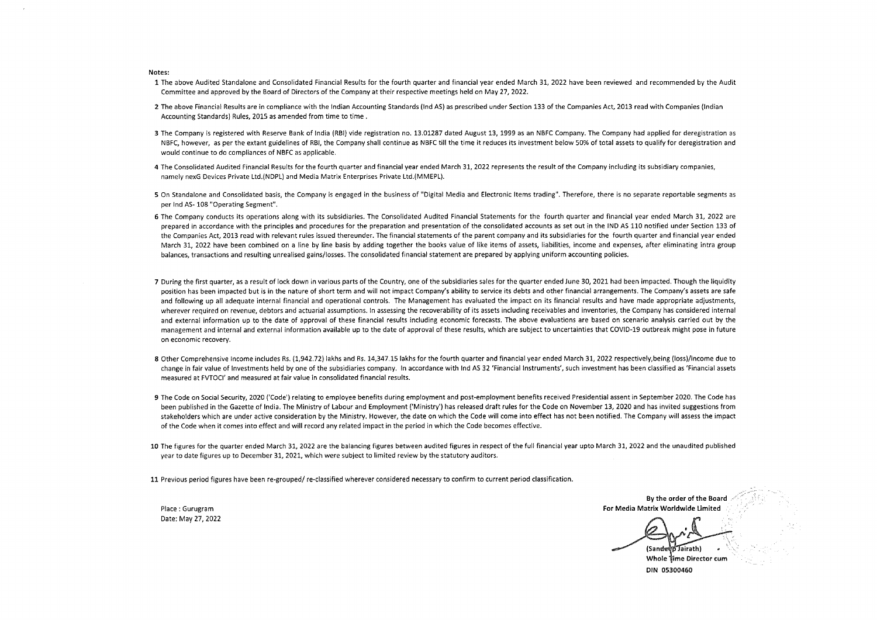**Notes:** 

- **1** The above Audited Standalone and Consolidated Financial Results for the fourth quarter and financial year ended March 31, 2022 have been reviewed and recommended by the Audit Committee and approved by the Board of Directors of the Company at their respective meetings held on May 27, 2022.
- **2** The above Financial Results are in compliance with the Indian Accounting Standards (Ind AS) as prescribed under Section 133 of the Companies Act, 2013 read with Companies (Indian Accounting Standards) Rules, 2015 as amended from time to time .
- 3 The Company is registered with Reserve Bank of India (RBI) vide registration no. 13.01287 dated August 13, 1999 as an NBFC Company. The Company had applied for deregistration as NBFC, however, as per the extant guidelines of RBI, the Company shall continue as NBFC till the time it reduces its investment below 50% of total assets to qualify for deregistration and would continue to do compliances of NBFC as applicable.
- **4** The Consolidated Audited Financial Results for the fourth quarter and financial year ended March 31, 2022 represents the result of the Company including its subsidiary companies, namely nexG Devices Private Ltd.(NDPL) and Media Matrix Enterprises Private Ltd.(MMEPL).
- 5 On Standalone and Consolidated basis, the Company is engaged in the business of "Digital Media and Electronic Items trading". Therefore, there is no separate reportable segments as per Ind AS- 108 "Operating Segment".
- **6** The Company conducts its operations along with its subsidiaries. The Consolidated Audited Financial Statements for the fourth quarter and financial year ended March 31, 2022 are prepared in accordance with the principles and procedures for the preparation and presentation of the consolidated accounts as set out in the IND AS 110 notified under Section 133 of the Companies Act, 2013 read with relevant rules issued thereunder. The financial statements of the parent company and its subsidiaries for the fourth quarter and financial year ended March 31, 2022 have been combined on a line by line basis by adding together the books value of like items of assets, liabilities, income and expenses, after eliminating intra group balances, transactions and resulting unrealised gains/losses. The consolidated financial statement are prepared by applying uniform accounting policies.
- 7 During the first quarter, as a result of lock down in various parts of the Country, one of the subsidiaries sales for the quarter ended June 30, 2021 had been impacted. Though the liquidity position has been impacted but is in the nature of short term and will not impact Company's ability to service its debts and other financial arrangements. The Company's assets are safe and following up all adequate internal financial and operational controls. The Management has evaluated the impact on its financial results and have made appropriate adjustments, wherever required on revenue, debtors and actuarial assumptions. In assessing the recoverability of its assets including receivables and inventories, the Company has considered internal and external information up to the date of approval of these financial results including economic forecasts. The above evaluations are based on scenario analysis carried out by the management and internal and external information available up to the date of approval of these results, which are subject to uncertainties that COVID-19 outbreak might pose in future on economic recovery.
- 8 Other Comprehensive Income includes Rs. (1,942.72) lakhs and Rs. 14,347.15 lakhs for the fourth quarter and financial year ended March 31, 2022 respectively,being (loss)/income due to change in fair value of Investments held by one of the subsidiaries company. In accordance with Ind AS 32 'Financial Instruments', such investment has been classified as 'Financial assets measured at FVTOCI' and measured at fair value in consolidated financial results.
- **9** The Code on Social Security, 2020 ('Code') relating to employee benefits during employment and post-employment benefits received Presidential assent in September 2020. The Code has been published in the Gazette of India. The Ministry of Labour and Employment ('Ministry') has released draft rules for the Code on November 13, 2020 and has invited suggestions from stakeholders which are under active consideration by the Ministry. However, the date on which the Code will come into effect has not been notified. The Company will assess the impact of the Code when it comes into effect and will record any related impact in the period in which the Code becomes effective.
- **10** The figures for the quarter ended March 31, 2022 are the balancing figures between audited figures in respect of the full financial year upto March 31, 2022 and the unaudited published year to date figures up to December 31, 2021, which were subject to limited review by the statutory auditors.

**11** Previous period figures have been re-grouped/ re-classified wherever considered necessary to confirm to current period classification.

Place : Gurugram Date; May 27, 2022

**By the order of the Board For Media Matrix Worldwide Limited**  (Sandeed Jairath) Whole time Director cum

DIN 05300460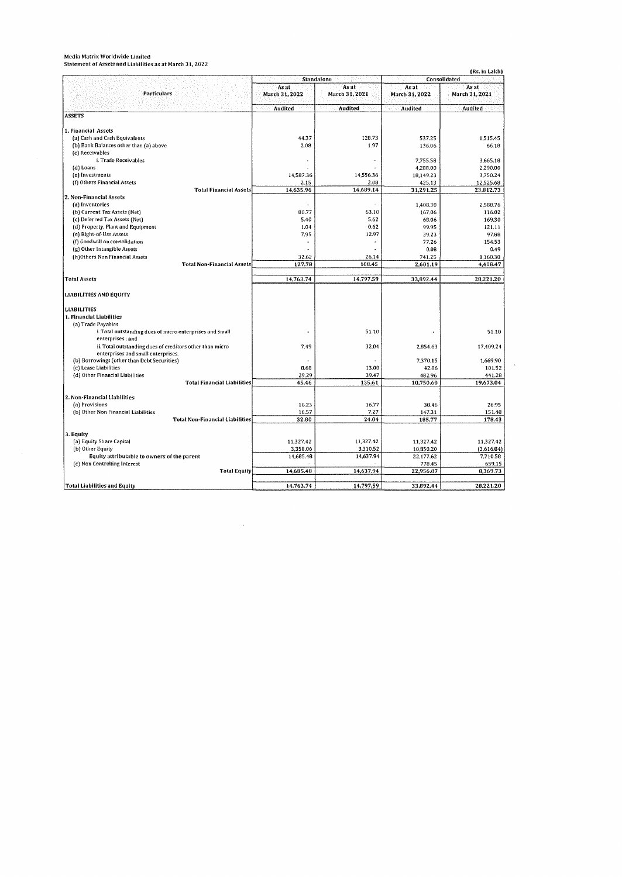|                                                          | <b>Standalone</b>       |                         |                         | Consolidated            |
|----------------------------------------------------------|-------------------------|-------------------------|-------------------------|-------------------------|
| Particulars                                              | As at<br>March 31, 2022 | As at<br>March 31, 2021 | As at<br>March 31, 2022 | As at<br>March 31, 2021 |
|                                                          | Audited                 | Audited                 | Audited                 | Audited                 |
| <b>ASSETS</b>                                            |                         |                         |                         |                         |
|                                                          |                         |                         |                         |                         |
| 1. Financial Assets<br>(a) Cash and Cash Equivalents     | 44.37                   | 128.73                  |                         |                         |
| (b) Bank Balances other than (a) above                   | 2.08                    | 1.97                    | 537.25<br>136.06        | 1,515.45<br>66.18       |
| (c) Receivables                                          |                         |                         |                         |                         |
| i. Trade Receivables                                     |                         |                         | 7,755.58                | 3,665.18                |
| (d) Loans                                                |                         |                         | 4,288.00                | 2,290.00                |
| (e) Investments                                          | 14,587.36               | 14,556.36               | 18,149.23               | 3,750.24                |
| (f) Others Financial Assets                              | 2.15                    | 2.08                    | 425.13                  | 12,525.68               |
| <b>Total Financial Assets</b>                            | 14,635.96               | 14,689.14               | 31,291.25               | 23,812.73               |
| 2. Non-Financial Assets                                  |                         |                         |                         |                         |
| (a) Inventories                                          |                         |                         | 1,408.30                | 2.588.76                |
| (b) Current Tax Assets (Net)                             | 80.77                   | 63.10                   | 167.06                  | 116.02                  |
| (c) Deferred Tax Assets (Net)                            | 5.40                    | 5.62                    | 68.06                   | 169.30                  |
| (d) Property, Plant and Equipment                        | 1.04                    | 0.62                    | 99.95                   | 121.11                  |
| (e) Right-of-Use Assets                                  | 7.95                    | 12.97                   | 39.23                   | 97.88                   |
| (f) Goodwill on consolidation                            |                         |                         | 77.26                   | 154.53                  |
| (g) Other Intangible Assets                              |                         |                         | 0.08                    | 0.49                    |
| (h)Others Non Financial Assets                           | 32.62                   | 26.14                   | 741.25                  | 1,160.38                |
| <b>Total Non-Financial Assets</b>                        | 127.78                  | 108.45                  | 2,601.19                | 4,408.47                |
|                                                          |                         |                         |                         |                         |
| <b>Total Assets</b>                                      | 14,763.74               | 14,797.59               | 33,892.44               | 28,221.20               |
| <b>LIABILITIES AND EQUITY</b>                            |                         |                         |                         |                         |
|                                                          |                         |                         |                         |                         |
| <b>LIABILITIES</b>                                       |                         |                         |                         |                         |
| 1. Financial Liabilities                                 |                         |                         |                         |                         |
| (a) Trade Payables                                       |                         |                         |                         |                         |
| i. Total outstanding dues of micro enterprises and small |                         | 51.10                   |                         | 51.10                   |
| enterprises; and                                         |                         |                         |                         |                         |
| ii. Total outstanding dues of creditors other than micro | 7.49                    | 32.04                   | 2,854.63                | 17,409.24               |
| enterprises and small enterprises.                       |                         |                         |                         |                         |
| (b) Borrowings (other than Debt Securities)              |                         |                         | 7.370.15                | 1.669,90                |
| (c) Lease Liabilities                                    | 8.68                    | 13.00                   | 42.86                   | 101.52                  |
| (d) Other Financial Liabilities                          | 29.29                   | 39.47                   | 482.96                  | 441.28                  |
| <b>Total Financial Liabilities</b>                       | 45.46                   | 135.61                  | 10,750.60               | 19,673.04               |
| 2. Non-Financial Liabilities                             |                         |                         |                         |                         |
| (a) Provisions                                           | 16.23                   | 16.77                   | 38.46                   | 26.95                   |
| (b) Other Non Financial Liabilities                      | 16.57                   | 7.27                    | 147.31                  | 151.48                  |
| <b>Total Non-Financial Liabilities</b>                   | 32.80                   | 24.04                   | 185.77                  | 178.43                  |
|                                                          |                         |                         |                         |                         |
| 3. Equity                                                |                         |                         |                         |                         |
| (a) Equity Share Capital                                 | 11,327.42               | 11,327.42               | 11,327.42               | 11,327.42               |
| (b) Other Equity                                         | 3,358.06                | 3,310.52                | 10,850.20               | (3,616.84)              |
| Equity attributable to owners of the parent              | 14,685.48               | 14,637.94               | 22,177.62               | 7,710.58                |
| (c) Non Controlling Interest                             |                         |                         | 778.45                  | 659.15                  |
| <b>Total Equity</b>                                      | 14,685.48               | 14,637.94               | 22,956.07               | 8,369.73                |
|                                                          |                         |                         |                         |                         |
| Total Liabilities and Equity                             | 14,763.74               | 14,797.59               | 33,892.44               | 28.221.20               |

 $\sim 10^6$